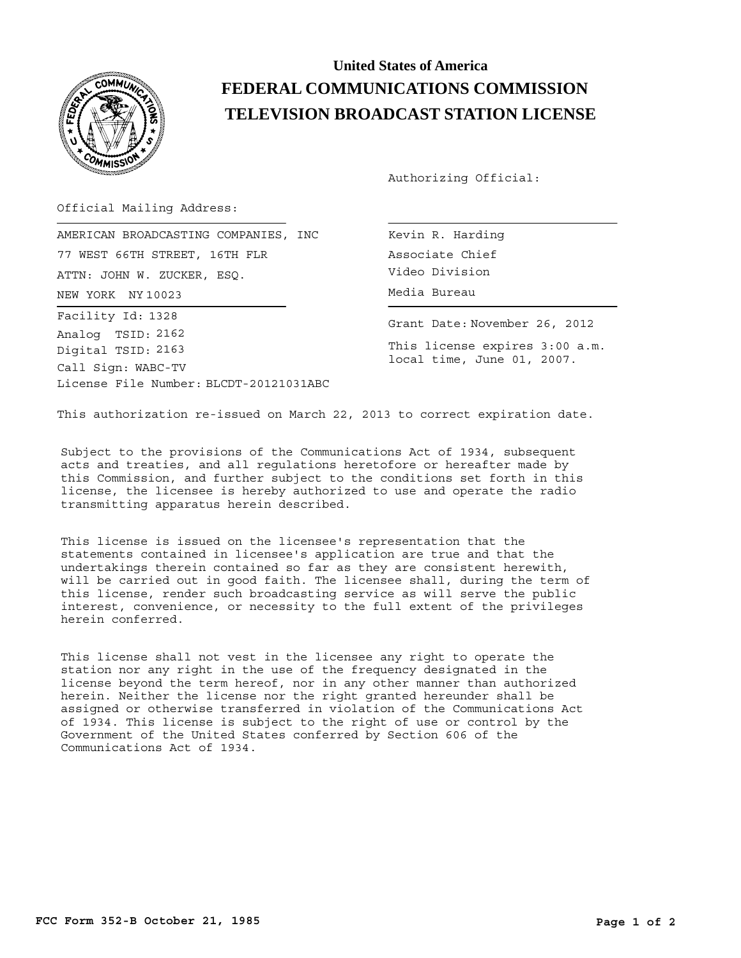

## **United States of America FEDERAL COMMUNICATIONS COMMISSION TELEVISION BROADCAST STATION LICENSE**

Authorizing Official:

Official Mailing Address:

NEW YORK NY10023 and the Media Bureau AMERICAN BROADCASTING COMPANIES, INC 77 WEST 66TH STREET, 16TH FLR ATTN: JOHN W. ZUCKER, ESQ. License File Number: BLCDT-20121031ABC Call Sign: WABC-TV Facility Id: 1328 Digital TSID: 2163 Analog TSID: 2162

Kevin R. Harding Associate Chief Video Division

Grant Date: November 26, 2012 This license expires 3:00 a.m. local time, June 01, 2007.

This authorization re-issued on March 22, 2013 to correct expiration date.

Subject to the provisions of the Communications Act of 1934, subsequent acts and treaties, and all regulations heretofore or hereafter made by this Commission, and further subject to the conditions set forth in this license, the licensee is hereby authorized to use and operate the radio transmitting apparatus herein described.

This license is issued on the licensee's representation that the statements contained in licensee's application are true and that the undertakings therein contained so far as they are consistent herewith, will be carried out in good faith. The licensee shall, during the term of this license, render such broadcasting service as will serve the public interest, convenience, or necessity to the full extent of the privileges herein conferred.

This license shall not vest in the licensee any right to operate the station nor any right in the use of the frequency designated in the license beyond the term hereof, nor in any other manner than authorized herein. Neither the license nor the right granted hereunder shall be assigned or otherwise transferred in violation of the Communications Act of 1934. This license is subject to the right of use or control by the Government of the United States conferred by Section 606 of the Communications Act of 1934.